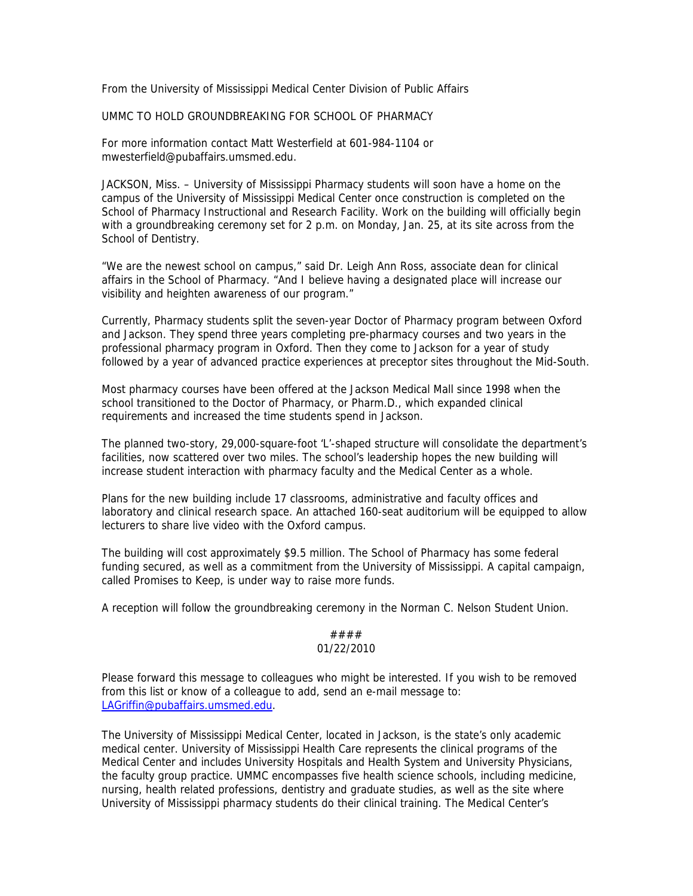From the University of Mississippi Medical Center Division of Public Affairs

UMMC TO HOLD GROUNDBREAKING FOR SCHOOL OF PHARMACY

For more information contact Matt Westerfield at 601-984-1104 or mwesterfield@pubaffairs.umsmed.edu.

JACKSON, Miss. – University of Mississippi Pharmacy students will soon have a home on the campus of the University of Mississippi Medical Center once construction is completed on the School of Pharmacy Instructional and Research Facility. Work on the building will officially begin with a groundbreaking ceremony set for 2 p.m. on Monday, Jan. 25, at its site across from the School of Dentistry.

"We are the newest school on campus," said Dr. Leigh Ann Ross, associate dean for clinical affairs in the School of Pharmacy. "And I believe having a designated place will increase our visibility and heighten awareness of our program."

Currently, Pharmacy students split the seven-year Doctor of Pharmacy program between Oxford and Jackson. They spend three years completing pre-pharmacy courses and two years in the professional pharmacy program in Oxford. Then they come to Jackson for a year of study followed by a year of advanced practice experiences at preceptor sites throughout the Mid-South.

Most pharmacy courses have been offered at the Jackson Medical Mall since 1998 when the school transitioned to the Doctor of Pharmacy, or Pharm.D., which expanded clinical requirements and increased the time students spend in Jackson.

The planned two-story, 29,000-square-foot 'L'-shaped structure will consolidate the department's facilities, now scattered over two miles. The school's leadership hopes the new building will increase student interaction with pharmacy faculty and the Medical Center as a whole.

Plans for the new building include 17 classrooms, administrative and faculty offices and laboratory and clinical research space. An attached 160-seat auditorium will be equipped to allow lecturers to share live video with the Oxford campus.

The building will cost approximately \$9.5 million. The School of Pharmacy has some federal funding secured, as well as a commitment from the University of Mississippi. A capital campaign, called Promises to Keep, is under way to raise more funds.

A reception will follow the groundbreaking ceremony in the Norman C. Nelson Student Union.

## #### 01/22/2010

Please forward this message to colleagues who might be interested. If you wish to be removed from this list or know of a colleague to add, send an e-mail message to: LAGriffin@pubaffairs.umsmed.edu.

The University of Mississippi Medical Center, located in Jackson, is the state's only academic medical center. University of Mississippi Health Care represents the clinical programs of the Medical Center and includes University Hospitals and Health System and University Physicians, the faculty group practice. UMMC encompasses five health science schools, including medicine, nursing, health related professions, dentistry and graduate studies, as well as the site where University of Mississippi pharmacy students do their clinical training. The Medical Center's